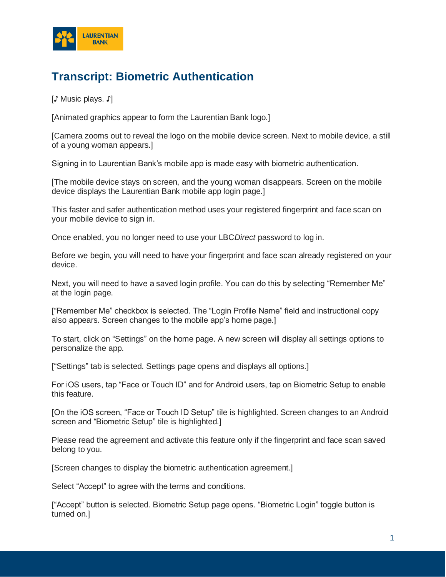

## **Transcript: Biometric Authentication**

[♪ Music plays. ♪]

[Animated graphics appear to form the Laurentian Bank logo.]

[Camera zooms out to reveal the logo on the mobile device screen. Next to mobile device, a still of a young woman appears.]

Signing in to Laurentian Bank's mobile app is made easy with biometric authentication.

[The mobile device stays on screen, and the young woman disappears. Screen on the mobile device displays the Laurentian Bank mobile app login page.]

This faster and safer authentication method uses your registered fingerprint and face scan on your mobile device to sign in.

Once enabled, you no longer need to use your LBC*Direct* password to log in.

Before we begin, you will need to have your fingerprint and face scan already registered on your device.

Next, you will need to have a saved login profile. You can do this by selecting "Remember Me" at the login page.

["Remember Me" checkbox is selected. The "Login Profile Name" field and instructional copy also appears. Screen changes to the mobile app's home page.]

To start, click on "Settings" on the home page. A new screen will display all settings options to personalize the app.

["Settings" tab is selected. Settings page opens and displays all options.]

For iOS users, tap "Face or Touch ID" and for Android users, tap on Biometric Setup to enable this feature.

[On the iOS screen, "Face or Touch ID Setup" tile is highlighted. Screen changes to an Android screen and "Biometric Setup" tile is highlighted.]

Please read the agreement and activate this feature only if the fingerprint and face scan saved belong to you.

[Screen changes to display the biometric authentication agreement.]

Select "Accept" to agree with the terms and conditions.

["Accept" button is selected. Biometric Setup page opens. "Biometric Login" toggle button is turned on.]